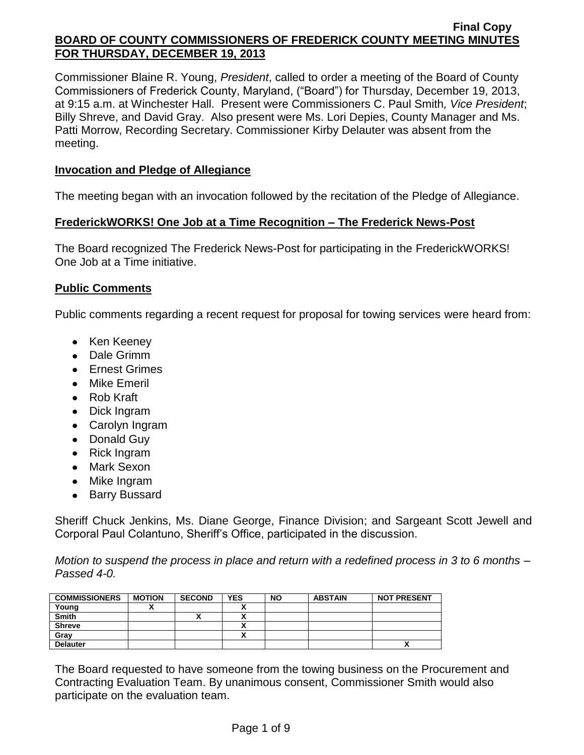Commissioner Blaine R. Young, *President*, called to order a meeting of the Board of County Commissioners of Frederick County, Maryland, ("Board") for Thursday, December 19, 2013, at 9:15 a.m. at Winchester Hall. Present were Commissioners C. Paul Smith*, Vice President*; Billy Shreve, and David Gray. Also present were Ms. Lori Depies, County Manager and Ms. Patti Morrow, Recording Secretary. Commissioner Kirby Delauter was absent from the meeting.

# **Invocation and Pledge of Allegiance**

The meeting began with an invocation followed by the recitation of the Pledge of Allegiance.

# **FrederickWORKS! One Job at a Time Recognition – The Frederick News-Post**

The Board recognized The Frederick News-Post for participating in the FrederickWORKS! One Job at a Time initiative.

# **Public Comments**

Public comments regarding a recent request for proposal for towing services were heard from:

- Ken Keeney
- Dale Grimm
- Ernest Grimes
- Mike Emeril
- Rob Kraft
- Dick Ingram
- Carolyn Ingram
- Donald Guy
- Rick Ingram
- Mark Sexon
- Mike Ingram
- Barry Bussard

Sheriff Chuck Jenkins, Ms. Diane George, Finance Division; and Sargeant Scott Jewell and Corporal Paul Colantuno, Sheriff's Office, participated in the discussion.

*Motion to suspend the process in place and return with a redefined process in 3 to 6 months – Passed 4-0.*

| <b>COMMISSIONERS</b> | <b>MOTION</b> | <b>SECOND</b> | <b>YES</b> | <b>NO</b> | <b>ABSTAIN</b> | <b>NOT PRESENT</b> |
|----------------------|---------------|---------------|------------|-----------|----------------|--------------------|
| Young                |               |               |            |           |                |                    |
| <b>Smith</b>         |               |               |            |           |                |                    |
| <b>Shreve</b>        |               |               |            |           |                |                    |
| Gray                 |               |               |            |           |                |                    |
| <b>Delauter</b>      |               |               |            |           |                | $\mathbf{v}$       |

The Board requested to have someone from the towing business on the Procurement and Contracting Evaluation Team. By unanimous consent, Commissioner Smith would also participate on the evaluation team.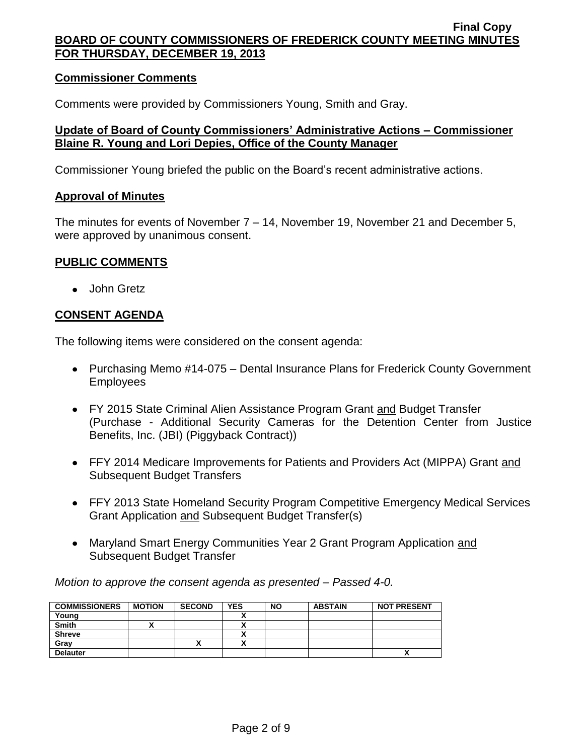### **Commissioner Comments**

Comments were provided by Commissioners Young, Smith and Gray.

### **Update of Board of County Commissioners' Administrative Actions – Commissioner Blaine R. Young and Lori Depies, Office of the County Manager**

Commissioner Young briefed the public on the Board's recent administrative actions.

### **Approval of Minutes**

The minutes for events of November 7 – 14, November 19, November 21 and December 5, were approved by unanimous consent.

### **PUBLIC COMMENTS**

John Gretz

# **CONSENT AGENDA**

The following items were considered on the consent agenda:

- Purchasing Memo #14-075 Dental Insurance Plans for Frederick County Government Employees
- FY 2015 State Criminal Alien Assistance Program Grant and Budget Transfer (Purchase - Additional Security Cameras for the Detention Center from Justice Benefits, Inc. (JBI) (Piggyback Contract))
- FFY 2014 Medicare Improvements for Patients and Providers Act (MIPPA) Grant and Subsequent Budget Transfers
- FFY 2013 State Homeland Security Program Competitive Emergency Medical Services Grant Application and Subsequent Budget Transfer(s)
- Maryland Smart Energy Communities Year 2 Grant Program Application and Subsequent Budget Transfer

*Motion to approve the consent agenda as presented – Passed 4-0.*

| <b>COMMISSIONERS</b> | <b>MOTION</b> | <b>SECOND</b> | <b>YES</b> | <b>NO</b> | <b>ABSTAIN</b> | <b>NOT PRESENT</b> |
|----------------------|---------------|---------------|------------|-----------|----------------|--------------------|
| Young                |               |               |            |           |                |                    |
| <b>Smith</b>         |               |               |            |           |                |                    |
| <b>Shreve</b>        |               |               |            |           |                |                    |
| Grav                 |               | "             |            |           |                |                    |
| <b>Delauter</b>      |               |               |            |           |                | ↗                  |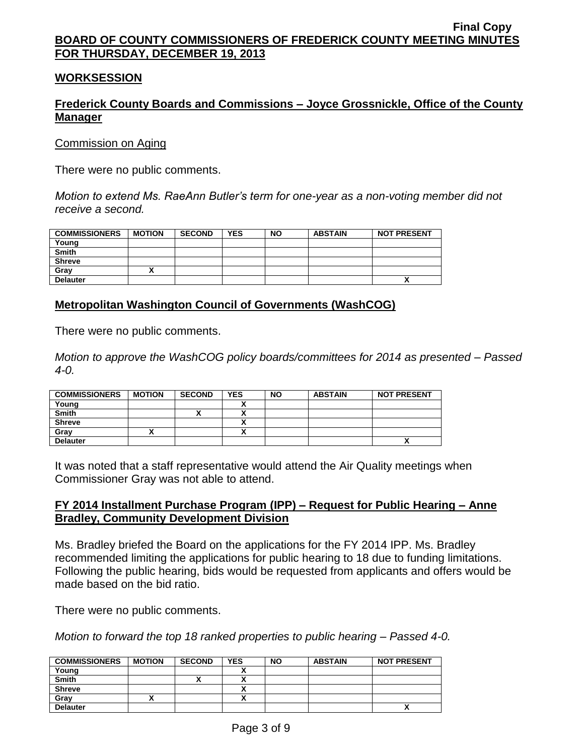### **WORKSESSION**

# **Frederick County Boards and Commissions – Joyce Grossnickle, Office of the County Manager**

Commission on Aging

There were no public comments.

*Motion to extend Ms. RaeAnn Butler's term for one-year as a non-voting member did not receive a second.*

| <b>COMMISSIONERS</b> | <b>MOTION</b> | <b>SECOND</b> | <b>YES</b> | <b>NO</b> | <b>ABSTAIN</b> | <b>NOT PRESENT</b> |
|----------------------|---------------|---------------|------------|-----------|----------------|--------------------|
| Young                |               |               |            |           |                |                    |
| <b>Smith</b>         |               |               |            |           |                |                    |
| <b>Shreve</b>        |               |               |            |           |                |                    |
| Gray                 |               |               |            |           |                |                    |
| <b>Delauter</b>      |               |               |            |           |                | Λ                  |

### **Metropolitan Washington Council of Governments (WashCOG)**

There were no public comments.

*Motion to approve the WashCOG policy boards/committees for 2014 as presented – Passed 4-0.*

| <b>COMMISSIONERS</b> | <b>MOTION</b> | <b>SECOND</b> | <b>YES</b> | <b>NO</b> | <b>ABSTAIN</b> | <b>NOT PRESENT</b> |
|----------------------|---------------|---------------|------------|-----------|----------------|--------------------|
| Young                |               |               |            |           |                |                    |
| <b>Smith</b>         |               |               | ^          |           |                |                    |
| <b>Shreve</b>        |               |               | ~          |           |                |                    |
| Gray                 |               |               |            |           |                |                    |
| <b>Delauter</b>      |               |               |            |           |                | ,,                 |

It was noted that a staff representative would attend the Air Quality meetings when Commissioner Gray was not able to attend.

### **FY 2014 Installment Purchase Program (IPP) – Request for Public Hearing – Anne Bradley, Community Development Division**

Ms. Bradley briefed the Board on the applications for the FY 2014 IPP. Ms. Bradley recommended limiting the applications for public hearing to 18 due to funding limitations. Following the public hearing, bids would be requested from applicants and offers would be made based on the bid ratio.

There were no public comments.

*Motion to forward the top 18 ranked properties to public hearing – Passed 4-0.*

| <b>COMMISSIONERS</b> | <b>MOTION</b> | <b>SECOND</b> | <b>YES</b> | <b>NO</b> | <b>ABSTAIN</b> | <b>NOT PRESENT</b> |
|----------------------|---------------|---------------|------------|-----------|----------------|--------------------|
| Young                |               |               |            |           |                |                    |
| <b>Smith</b>         |               | ,,            |            |           |                |                    |
| <b>Shreve</b>        |               |               |            |           |                |                    |
| Grav                 |               |               |            |           |                |                    |
| <b>Delauter</b>      |               |               |            |           |                |                    |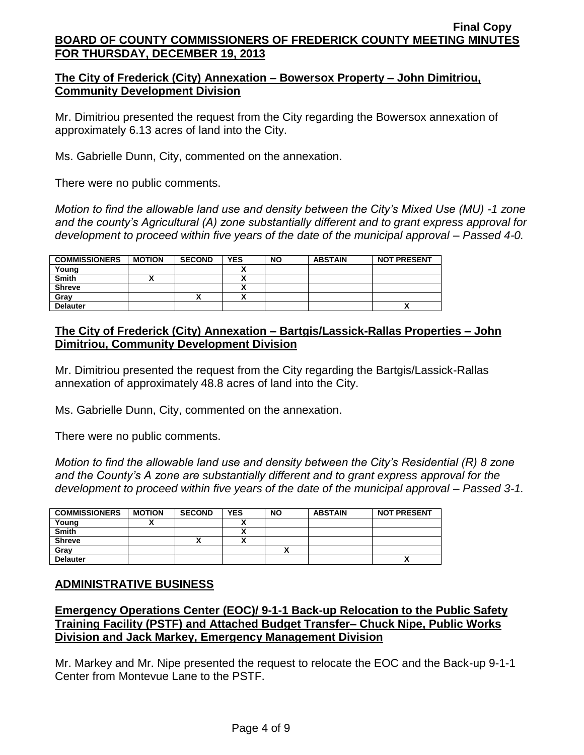# **The City of Frederick (City) Annexation – Bowersox Property – John Dimitriou, Community Development Division**

Mr. Dimitriou presented the request from the City regarding the Bowersox annexation of approximately 6.13 acres of land into the City.

Ms. Gabrielle Dunn, City, commented on the annexation.

There were no public comments.

*Motion to find the allowable land use and density between the City's Mixed Use (MU) -1 zone and the county's Agricultural (A) zone substantially different and to grant express approval for development to proceed within five years of the date of the municipal approval – Passed 4-0.*

| <b>COMMISSIONERS</b> | <b>MOTION</b> | <b>SECOND</b> | <b>YES</b> | <b>NO</b> | <b>ABSTAIN</b> | <b>NOT PRESENT</b> |
|----------------------|---------------|---------------|------------|-----------|----------------|--------------------|
| Young                |               |               |            |           |                |                    |
| <b>Smith</b>         |               |               | Δ          |           |                |                    |
| <b>Shreve</b>        |               |               | ٠.<br>Λ    |           |                |                    |
| Grav                 |               |               | ٠.<br>^    |           |                |                    |
| <b>Delauter</b>      |               |               |            |           |                |                    |

# **The City of Frederick (City) Annexation – Bartgis/Lassick-Rallas Properties – John Dimitriou, Community Development Division**

Mr. Dimitriou presented the request from the City regarding the Bartgis/Lassick-Rallas annexation of approximately 48.8 acres of land into the City.

Ms. Gabrielle Dunn, City, commented on the annexation.

There were no public comments.

*Motion to find the allowable land use and density between the City's Residential (R) 8 zone and the County's A zone are substantially different and to grant express approval for the development to proceed within five years of the date of the municipal approval – Passed 3-1.*

| <b>COMMISSIONERS</b> | <b>MOTION</b> | <b>SECOND</b>            | <b>YES</b> | <b>NO</b> | <b>ABSTAIN</b> | <b>NOT PRESENT</b> |
|----------------------|---------------|--------------------------|------------|-----------|----------------|--------------------|
| Young                |               |                          |            |           |                |                    |
| <b>Smith</b>         |               |                          |            |           |                |                    |
| <b>Shreve</b>        |               | $\overline{\phantom{a}}$ | ^          |           |                |                    |
| Gray                 |               |                          |            | ^         |                |                    |
| <b>Delauter</b>      |               |                          |            |           |                | ^                  |

# **ADMINISTRATIVE BUSINESS**

# **Emergency Operations Center (EOC)/ 9-1-1 Back-up Relocation to the Public Safety Training Facility (PSTF) and Attached Budget Transfer– Chuck Nipe, Public Works Division and Jack Markey, Emergency Management Division**

Mr. Markey and Mr. Nipe presented the request to relocate the EOC and the Back-up 9-1-1 Center from Montevue Lane to the PSTF.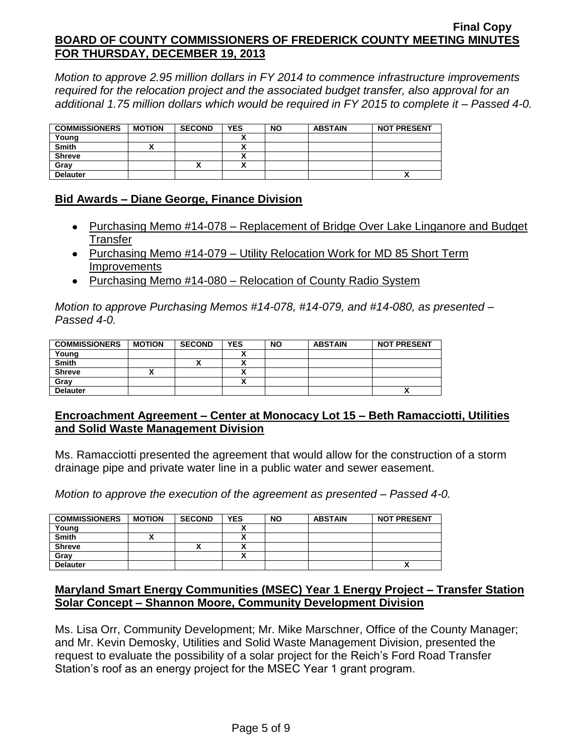*Motion to approve 2.95 million dollars in FY 2014 to commence infrastructure improvements required for the relocation project and the associated budget transfer, also approval for an additional 1.75 million dollars which would be required in FY 2015 to complete it – Passed 4-0.*

| <b>COMMISSIONERS</b> | <b>MOTION</b> | <b>SECOND</b> | <b>YES</b> | <b>NO</b> | <b>ABSTAIN</b> | <b>NOT PRESENT</b> |
|----------------------|---------------|---------------|------------|-----------|----------------|--------------------|
| Young                |               |               |            |           |                |                    |
| <b>Smith</b>         |               |               |            |           |                |                    |
| <b>Shreve</b>        |               |               |            |           |                |                    |
| Grav                 |               |               |            |           |                |                    |
| <b>Delauter</b>      |               |               |            |           |                |                    |

# **Bid Awards – Diane George, Finance Division**

- Purchasing Memo #14-078 Replacement of Bridge Over Lake Linganore and Budget Transfer
- Purchasing Memo #14-079 Utility Relocation Work for MD 85 Short Term **Improvements**
- Purchasing Memo #14-080 Relocation of County Radio System

*Motion to approve Purchasing Memos #14-078, #14-079, and #14-080, as presented – Passed 4-0.*

| <b>COMMISSIONERS</b> | <b>MOTION</b> | <b>SECOND</b> | <b>YES</b> | <b>NO</b> | <b>ABSTAIN</b> | <b>NOT PRESENT</b> |
|----------------------|---------------|---------------|------------|-----------|----------------|--------------------|
| Young                |               |               |            |           |                |                    |
| <b>Smith</b>         |               |               | $\cdot$    |           |                |                    |
| <b>Shreve</b>        |               |               | v          |           |                |                    |
| Grav                 |               |               | ^          |           |                |                    |
| <b>Delauter</b>      |               |               |            |           |                | Λ                  |

# **Encroachment Agreement – Center at Monocacy Lot 15 – Beth Ramacciotti, Utilities and Solid Waste Management Division**

Ms. Ramacciotti presented the agreement that would allow for the construction of a storm drainage pipe and private water line in a public water and sewer easement.

*Motion to approve the execution of the agreement as presented – Passed 4-0.*

| <b>COMMISSIONERS</b> | <b>MOTION</b> | <b>SECOND</b> | <b>YES</b> | <b>NO</b> | <b>ABSTAIN</b> | <b>NOT PRESENT</b> |
|----------------------|---------------|---------------|------------|-----------|----------------|--------------------|
| Young                |               |               |            |           |                |                    |
| <b>Smith</b>         |               |               |            |           |                |                    |
| <b>Shreve</b>        |               |               |            |           |                |                    |
| Grav                 |               |               |            |           |                |                    |
| <b>Delauter</b>      |               |               |            |           |                | Λ                  |

# **Maryland Smart Energy Communities (MSEC) Year 1 Energy Project – Transfer Station Solar Concept – Shannon Moore, Community Development Division**

Ms. Lisa Orr, Community Development; Mr. Mike Marschner, Office of the County Manager; and Mr. Kevin Demosky, Utilities and Solid Waste Management Division, presented the request to evaluate the possibility of a solar project for the Reich's Ford Road Transfer Station's roof as an energy project for the MSEC Year 1 grant program.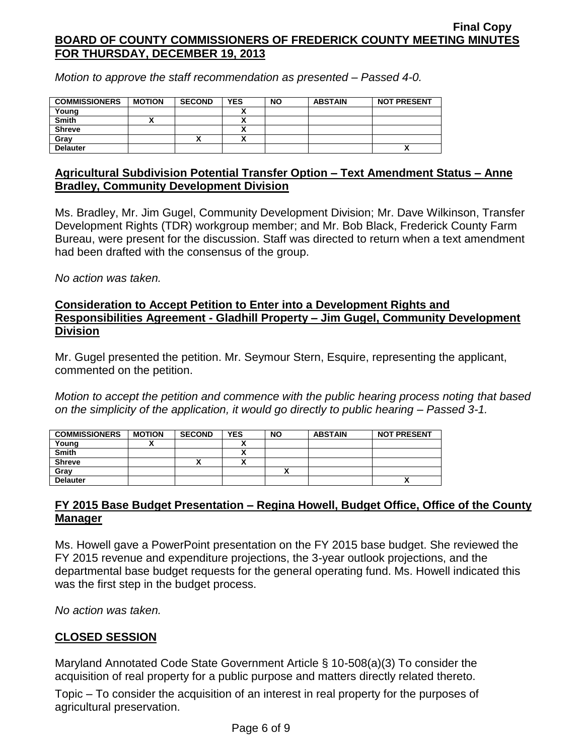*Motion to approve the staff recommendation as presented – Passed 4-0.*

| <b>COMMISSIONERS</b> | <b>MOTION</b> | <b>SECOND</b> | <b>YES</b> | <b>NO</b> | <b>ABSTAIN</b> | <b>NOT PRESENT</b> |
|----------------------|---------------|---------------|------------|-----------|----------------|--------------------|
| Young                |               |               |            |           |                |                    |
| <b>Smith</b>         |               |               |            |           |                |                    |
| <b>Shreve</b>        |               |               |            |           |                |                    |
| Gray                 |               | Λ             |            |           |                |                    |
| <b>Delauter</b>      |               |               |            |           |                | Λ                  |

# **Agricultural Subdivision Potential Transfer Option – Text Amendment Status – Anne Bradley, Community Development Division**

Ms. Bradley, Mr. Jim Gugel, Community Development Division; Mr. Dave Wilkinson, Transfer Development Rights (TDR) workgroup member; and Mr. Bob Black, Frederick County Farm Bureau, were present for the discussion. Staff was directed to return when a text amendment had been drafted with the consensus of the group.

*No action was taken.*

## **Consideration to Accept Petition to Enter into a Development Rights and Responsibilities Agreement - Gladhill Property – Jim Gugel, Community Development Division**

Mr. Gugel presented the petition. Mr. Seymour Stern, Esquire, representing the applicant, commented on the petition.

*Motion to accept the petition and commence with the public hearing process noting that based on the simplicity of the application, it would go directly to public hearing – Passed 3-1.*

| <b>COMMISSIONERS</b> | <b>MOTION</b> | <b>SECOND</b> | <b>YES</b> | <b>NO</b> | <b>ABSTAIN</b> | <b>NOT PRESENT</b> |
|----------------------|---------------|---------------|------------|-----------|----------------|--------------------|
| Young                |               |               |            |           |                |                    |
| <b>Smith</b>         |               |               |            |           |                |                    |
| <b>Shreve</b>        |               | ~             |            |           |                |                    |
| Gray                 |               |               |            |           |                |                    |
| <b>Delauter</b>      |               |               |            |           |                | ↗                  |

# **FY 2015 Base Budget Presentation – Regina Howell, Budget Office, Office of the County Manager**

Ms. Howell gave a PowerPoint presentation on the FY 2015 base budget. She reviewed the FY 2015 revenue and expenditure projections, the 3-year outlook projections, and the departmental base budget requests for the general operating fund. Ms. Howell indicated this was the first step in the budget process.

*No action was taken.*

# **CLOSED SESSION**

Maryland Annotated Code State Government Article § 10-508(a)(3) To consider the acquisition of real property for a public purpose and matters directly related thereto.

Topic – To consider the acquisition of an interest in real property for the purposes of agricultural preservation.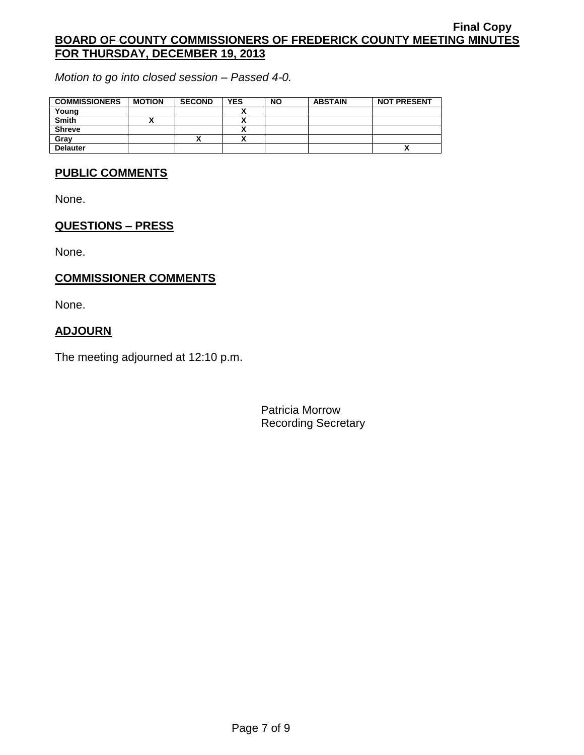*Motion to go into closed session – Passed 4-0.*

| <b>COMMISSIONERS</b> | <b>MOTION</b> | <b>SECOND</b> | <b>YES</b> | <b>NO</b> | <b>ABSTAIN</b> | <b>NOT PRESENT</b>       |
|----------------------|---------------|---------------|------------|-----------|----------------|--------------------------|
| Young                |               |               |            |           |                |                          |
| <b>Smith</b>         |               |               |            |           |                |                          |
| <b>Shreve</b>        |               |               |            |           |                |                          |
| Gray                 |               | "             |            |           |                |                          |
| <b>Delauter</b>      |               |               |            |           |                | $\overline{\phantom{a}}$ |

### **PUBLIC COMMENTS**

None.

# **QUESTIONS – PRESS**

None.

# **COMMISSIONER COMMENTS**

None.

# **ADJOURN**

The meeting adjourned at 12:10 p.m.

Patricia Morrow Recording Secretary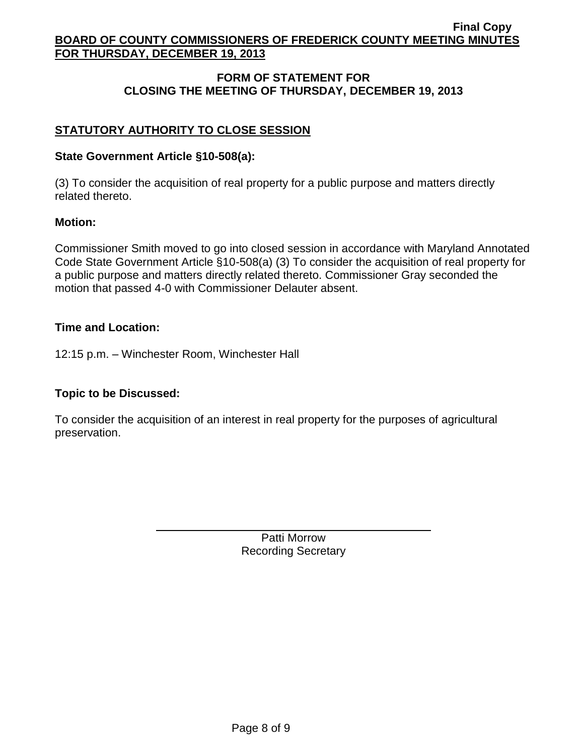# **FORM OF STATEMENT FOR CLOSING THE MEETING OF THURSDAY, DECEMBER 19, 2013**

# **STATUTORY AUTHORITY TO CLOSE SESSION**

# **State Government Article §10-508(a):**

(3) To consider the acquisition of real property for a public purpose and matters directly related thereto.

# **Motion:**

Commissioner Smith moved to go into closed session in accordance with Maryland Annotated Code State Government Article §10-508(a) (3) To consider the acquisition of real property for a public purpose and matters directly related thereto. Commissioner Gray seconded the motion that passed 4-0 with Commissioner Delauter absent.

# **Time and Location:**

12:15 p.m. – Winchester Room, Winchester Hall

# **Topic to be Discussed:**

To consider the acquisition of an interest in real property for the purposes of agricultural preservation.

> Patti Morrow Recording Secretary